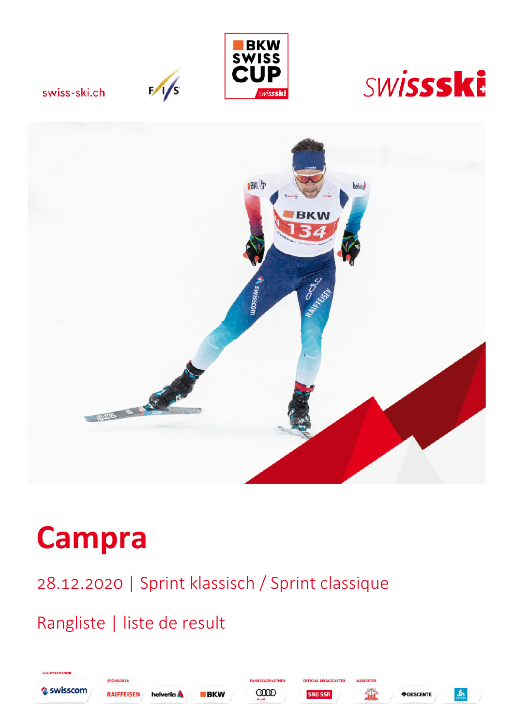

swiss-ski.ch

 $\sqrt{s}$ 



 $\mathbf{r}$ 

*FIDESCENTE* 



# **Campra**

28.12.2020 | Sprint klassisch / Sprint classique

**BKW** 

**CODO** 

Rangliste | liste de result

**RAIFFEISEN** 

helvetia A



**AUPTSPONSOR**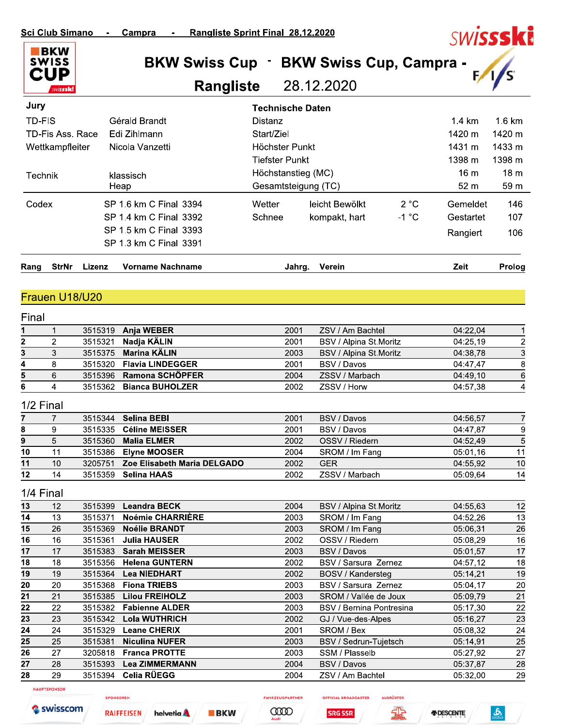ssski

**Rangliste** 



## BKW Swiss Cup · BKW Swiss Cup, Campra -

28.12.2020

F

21

22

23

24

 $\overline{25}$ 

 $\overline{27}$ 

28  $\overline{29}$ 

 $\mathbb{P}$ 

05:09,79

05:17,30

05:16,27

05:08,32

05:14,91

05:27,92

05:37,87

05:32,00

*FIDESCENTE* 

**SWISSSKE** 

| Jury                           |                        | <b>Technische Daten</b> |                     |               |                 |                  |
|--------------------------------|------------------------|-------------------------|---------------------|---------------|-----------------|------------------|
| TD-FIS                         | Gérald Brandt          | Distanz                 |                     |               | 1.4 km          | $1.6 \text{ km}$ |
| TD-Fis Ass. Race               | Edi Zihlmann           | Start/Ziel              |                     |               | 1420 m          | 1420 m           |
| Wettkampfleiter                | Nicola Vanzetti        | Höchster Punkt          |                     | 1431 m        | 1433 m          |                  |
|                                |                        | Tiefster Punkt          |                     |               | 1398 m          | 1398 m           |
| <b>Technik</b>                 | klassisch              | Höchstanstieg (MC)      |                     |               | 16 <sub>m</sub> | 18 <sub>m</sub>  |
|                                | Heap                   |                         | Gesamtsteigung (TC) |               | 52 <sub>m</sub> | 59 m             |
| Codex                          | SP 1.6 km C Final 3394 | Wetter                  | leicht Bewölkt      | 2 °C          | Gemeldet        | 146              |
|                                | SP 1.4 km C Final 3392 | Schnee                  | kompakt, hart       | $-1\degree$ C | Gestartet       | 107              |
|                                | SP 1.5 km C Final 3393 |                         |                     |               | Rangiert        | 106              |
|                                | SP 1.3 km C Final 3391 |                         |                     |               |                 |                  |
| Rang<br><b>StrNr</b><br>Lizenz | Vorname Nachname       |                         | Verein<br>Jahrg.    |               | Zeit            | Prolog           |

## Frauen U18/U20

## Final

|                | 1              | 3515319 | Anja WEBER                  | 2001 | ZSV / Am Bachtel            | 04:22,04 |                |
|----------------|----------------|---------|-----------------------------|------|-----------------------------|----------|----------------|
| $\mathbf{2}$   | $\overline{2}$ | 3515321 | Nadja KÄLIN                 | 2001 | BSV / Alpina St.Moritz      | 04:25,19 | $\overline{2}$ |
| 3              | 3              | 3515375 | <b>Marina KÄLIN</b>         | 2003 | BSV / Alpina St.Moritz      | 04:38,78 | 3              |
| 4              | 8              | 3515320 | <b>Flavia LINDEGGER</b>     | 2001 | BSV / Davos                 | 04:47,47 | 8              |
| 5              | 6              | 3515396 | Ramona SCHÖPFER             | 2004 | ZSSV / Marbach              | 04:49,10 | 6              |
| 6              | 4              | 3515362 | <b>Bianca BUHOLZER</b>      | 2002 | ZSSV / Horw                 | 04:57,38 | 4              |
|                | 1/2 Final      |         |                             |      |                             |          |                |
| $\overline{7}$ |                | 3515344 | <b>Selina BEBI</b>          | 2001 | BSV / Davos                 | 04:56,57 | 7              |
| 8              | 9              | 3515335 | <b>Céline MEISSER</b>       | 2001 | BSV / Davos                 | 04:47,87 | 9              |
| 9              | 5              | 3515360 | <b>Malia ELMER</b>          | 2002 | OSSV / Riedern              | 04:52.49 | 5              |
| 10             | 11             | 3515386 | <b>Elyne MOOSER</b>         | 2004 | SROM / Im Fang              | 05:01,16 | 11             |
| 11             | 10             | 3205751 | Zoe Elisabeth Maria DELGADO | 2002 | <b>GER</b>                  | 04:55,92 | 10             |
| 12             | 14             | 3515359 | <b>Selina HAAS</b>          | 2002 | ZSSV / Marbach              | 05:09,64 | 14             |
|                | 1/4 Final      |         |                             |      |                             |          |                |
| 13             | 12             | 3515399 | <b>Leandra BECK</b>         | 2004 | BSV / Alpina St.Moritz      | 04:55,63 | 12             |
| 14             | 13             | 3515371 | <b>Noémie CHARRIÈRE</b>     | 2003 | SROM / Im Fang              | 04:52,26 | 13             |
| 15             | 26             | 3515369 | <b>Noélie BRANDT</b>        | 2003 | SROM / Im Fang              | 05:06,31 | 26             |
| 16             | 16             | 3515361 | <b>Julia HAUSER</b>         | 2002 | OSSV / Riedern              | 05:08,29 | 16             |
| 17             | 17             | 3515383 | <b>Sarah MEISSER</b>        | 2003 | BSV / Davos                 | 05:01,57 | 17             |
| 18             | 18             | 3515356 | <b>Helena GUNTERN</b>       | 2002 | <b>BSV / Sarsura Zernez</b> | 04:57,12 | 18             |
| 19             | 19             | 3515364 | <b>Lea NIEDHART</b>         | 2002 | <b>BOSV / Kandersteg</b>    | 05:14,21 | 19             |
| 20             | 20             | 3515368 | <b>Fiona TRIEBS</b>         | 2003 | <b>BSV / Sarsura Zernez</b> | 05:04.17 | 20             |

2003

2003

2002

2001

2003

2003

2004

2004

FAHRZEUGPARTNER

**COOD** 

SROM / Vallée de Joux

BSV / Sedrun-Tujetsch

**AUSRÜSTER** 

ГH.

GJ / Vue-des-Alpes

SROM / Bex

SSM / Plasselb

ZSV / Am Bachtel

BSV / Davos

OFFICIAL BROADCASTER

**SRG SSR** 

**BSV / Bernina Pontresina** 

| <b>HAUPTSPONSOR</b> |  |  |  |
|---------------------|--|--|--|

21

22

23

24

25

27

28

29

**Swisscom** 

3515385 Lilou FREIHOLZ

3515382 Fabienne ALDER

**Lola WUTHRICH** 

**Leane CHERIX** 

**Niculina NUFER** 

**Franca PROTTE** 

Celia RÜEGG

**Lea ZIMMERMANN** 

helvetia<sup>4</sup>

**BKW** 

3515342

3515329

3515381

3205818

3515393

3515394

SPONSOREN

**RAIFFEISEN** 

 $21$ 

22

23

24

 $\overline{25}$ 

 $\overline{26}$ 

 $\overline{27}$ 

28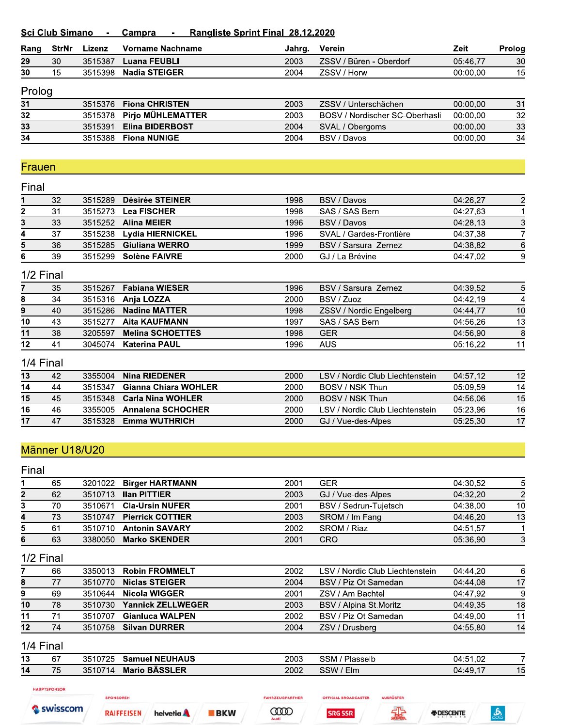## Sci Club Simano - Campra - Rangliste Sprint Final 28.12.2020

| Rang   | StrNr | Lizenz  | Vorname Nachname          | Jahrg. | Verein                         | Zeit     | Prolog |
|--------|-------|---------|---------------------------|--------|--------------------------------|----------|--------|
| 29     | 30    | 3515387 | Luana FEUBLI              | 2003   | ZSSV / Büren - Oberdorf        | 05:46.77 | 30     |
| 30     | 15    |         | 3515398 Nadia STEIGER     | 2004   | ZSSV / Horw                    | 00:00,00 | 15     |
| Prolog |       |         |                           |        |                                |          |        |
| 31     |       |         | 3515376 Fiona CHRISTEN    | 2003   | ZSSV / Unterschächen           | 00:00.00 | 31     |
| 32     |       |         | 3515378 Pirjo MÜHLEMATTER | 2003   | BOSV / Nordischer SC-Oberhasli | 00:00.00 | 32     |
| 33     |       | 3515391 | <b>Elina BIDERBOST</b>    | 2004   | SVAL / Obergoms                | 00:00.00 | 33     |
| 34     |       |         | 3515388 Fiona NUNIGE      | 2004   | BSV / Davos                    | 00:00,00 | 34     |

## Frauen

Final

|   | 32 | 3515289 | <b>Désirée STEINER</b>   | 1998 | BSV / Davos             | 04:26.27 |  |
|---|----|---------|--------------------------|------|-------------------------|----------|--|
| 2 | 31 |         | 3515273 Lea FISCHER      | 1998 | SAS / SAS Bern          | 04:27.63 |  |
| 3 | 33 |         | 3515252 Alina MEIER      | 1996 | BSV / Davos             | 04:28.13 |  |
| 4 | 37 |         | 3515238 Lydia HIERNICKEL | 1996 | SVAL / Gardes-Frontière | 04:37.38 |  |
| 5 | 36 | 3515285 | <b>Giuliana WERRO</b>    | 1999 | BSV / Sarsura Zernez    | 04:38.82 |  |
| 6 | 39 |         | 3515299 Solène FAIVRE    | 2000 | GJ / La Brévine         | 04:47.02 |  |

1/2 Final

|    | 35 | 3515267 | <b>Fabiana WIESER</b>   | 1996 | BSV / Sarsura Zernez    | 04:39.52 | 5  |
|----|----|---------|-------------------------|------|-------------------------|----------|----|
| 8  | 34 |         | 3515316 Anja LOZZA      | 2000 | BSV / Zuoz              | 04:42.19 |    |
| 9  | 40 | 3515286 | <b>Nadine MATTER</b>    | 1998 | ZSSV / Nordic Engelberg | 04:44.77 | 10 |
| 10 | 43 | 3515277 | Aita KAUFMANN           | 1997 | SAS / SAS Bern          | 04:56.26 | 13 |
| 11 | 38 | 3205597 | <b>Melina SCHOETTES</b> | 1998 | <b>GER</b>              | 04:56.90 | 8  |
| 12 | 41 | 3045074 | Katerina PAUL           | 1996 | AUS                     | 05:16.22 | 11 |

## 1/4 Final

| 13 | 42 | 3355004 | Nina RIEDENER             | 2000 | LSV / Nordic Club Liechtenstein | 04:57.12 | $12 \,$ |
|----|----|---------|---------------------------|------|---------------------------------|----------|---------|
| 14 | 44 | 3515347 | Gianna Chiara WOHLER      | 2000 | BOSV / NSK Thun                 | 05:09.59 | 14      |
| 15 | 45 |         | 3515348 Carla Nina WOHLER | 2000 | BOSV / NSK Thun                 | 04:56.06 | 15      |
| 16 | 46 | 3355005 | <b>Annalena SCHOCHER</b>  | 2000 | LSV / Nordic Club Liechtenstein | 05:23.96 | 16      |
| 17 | 47 | 3515328 | <b>Emma WUTHRICH</b>      | 2000 | GJ / Vue-des-Alpes              | 05:25.30 | 17      |

## Männer U18/U20

| Final        |           |         |                          |      |                                 |          |                |
|--------------|-----------|---------|--------------------------|------|---------------------------------|----------|----------------|
|              | 65        | 3201022 | <b>Birger HARTMANN</b>   | 2001 | <b>GER</b>                      | 04:30,52 | 5              |
| $\mathbf{2}$ | 62        | 3510713 | <b>Ilan PITTIER</b>      | 2003 | GJ / Vue-des-Alpes              | 04:32,20 | $\overline{2}$ |
| 3            | 70        | 3510671 | <b>Cla-Ursin NUFER</b>   | 2001 | BSV / Sedrun-Tujetsch           | 04:38,00 | 10             |
| 4            | 73        | 3510747 | <b>Pierrick COTTIER</b>  | 2003 | SROM / Im Fang                  | 04:46.20 | 13             |
| 5            | 61        | 3510710 | <b>Antonin SAVARY</b>    | 2002 | SROM / Riaz                     | 04:51.57 |                |
| 6            | 63        | 3380050 | <b>Marko SKENDER</b>     | 2001 | <b>CRO</b>                      | 05:36,90 | 3              |
|              | 1/2 Final |         |                          |      |                                 |          |                |
|              | 66        | 3350013 | <b>Robin FROMMELT</b>    | 2002 | LSV / Nordic Club Liechtenstein | 04:44.20 | 6              |
| 8            | 77        | 3510770 | <b>Niclas STEIGER</b>    | 2004 | BSV / Piz Ot Samedan            | 04:44.08 | 17             |
| 9            | 69        | 3510644 | <b>Nicola WIGGER</b>     | 2001 | ZSV / Am Bachtel                | 04:47.92 | 9              |
| 10           | 78        | 3510730 | <b>Yannick ZELLWEGER</b> | 2003 | BSV / Alpina St.Moritz          | 04:49.35 | 18             |
| 11           | 71        | 3510707 | <b>Gianluca WALPEN</b>   | 2002 | BSV / Piz Ot Samedan            | 04:49.00 | 11             |
| 12           | 74        | 3510758 | <b>Silvan DURRER</b>     | 2004 | ZSV / Drusberg                  | 04:55.80 | 14             |
|              | 1/4 Final |         |                          |      |                                 |          |                |

3510725 Samuel NEUHAUS  $\overline{7}$ SSM / Plasselb 04:51,02 13 67 2003 3510714 Mario BÄSSLER 04:49,17  $14$  $75\,$ 2002 SSW / Elm 15

FAHRZEUGPARTNER

HAUPTSPONSOR

Swisscom

**RAIFFEISEN** helvetia A

SPONSOREN

**BKW** 



**OFFICIAL BROADCASTER** 

꿃

*FIDESCENTE* 

 $\frac{1}{2}$ 

AUSRÜSTER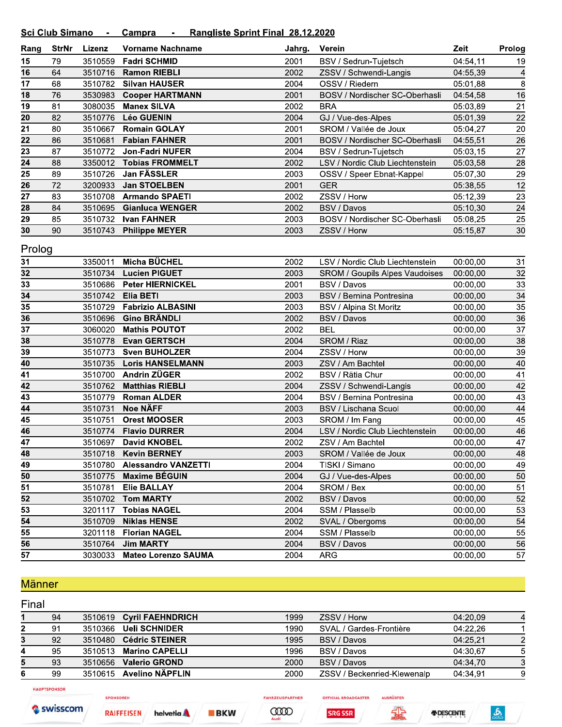## Sci Club Simano - Campra - Rangliste Sprint Final 28.12.2020

| Rang            | <b>StrNr</b> | Lizenz  | <b>Vorname Nachname</b>    | Jahrg. | Verein                          | Zeit     | Prolog          |
|-----------------|--------------|---------|----------------------------|--------|---------------------------------|----------|-----------------|
| 15              | 79           | 3510559 | <b>Fadri SCHMID</b>        | 2001   | BSV / Sedrun-Tujetsch           | 04:54,11 | 19              |
| 16              | 64           | 3510716 | <b>Ramon RIEBLI</b>        | 2002   | ZSSV / Schwendi-Langis          | 04:55,39 | $\overline{4}$  |
| $\overline{17}$ | 68           | 3510782 | <b>Silvan HAUSER</b>       | 2004   | OSSV / Riedern                  | 05:01,88 | $\bf8$          |
| 18              | 76           | 3530983 | <b>Cooper HARTMANN</b>     | 2001   | BOSV / Nordischer SC-Oberhasli  | 04:54,58 | 16              |
| 19              | 81           | 3080035 | <b>Manex SILVA</b>         | 2002   | <b>BRA</b>                      | 05:03,89 | 21              |
| 20              | 82           | 3510776 | <b>Léo GUENIN</b>          | 2004   | GJ / Vue-des-Alpes              | 05:01,39 | 22              |
| 21              | 80           | 3510667 | <b>Romain GOLAY</b>        | 2001   | SROM / Vallée de Joux           | 05:04,27 | $\overline{20}$ |
| 22              | 86           | 3510681 | <b>Fabian FAHNER</b>       | 2001   | BOSV / Nordischer SC-Oberhasli  | 04:55,51 | 26              |
| $\overline{23}$ | 87           | 3510772 | Jon-Fadri NUFER            | 2004   | BSV / Sedrun-Tujetsch           | 05:03,15 | $\overline{27}$ |
| 24              | 88           | 3350012 | <b>Tobias FROMMELT</b>     | 2002   | LSV / Nordic Club Liechtenstein | 05:03,58 | 28              |
| 25              | 89           | 3510726 | Jan FÄSSLER                | 2003   | OSSV / Speer Ebnat-Kappel       | 05:07,30 | $\overline{29}$ |
| 26              | 72           | 3200933 | <b>Jan STOELBEN</b>        | 2001   | <b>GER</b>                      | 05:38,55 | $\overline{12}$ |
| 27              | 83           | 3510708 | <b>Armando SPAETI</b>      | 2002   | ZSSV / Horw                     | 05:12,39 | 23              |
| 28              | 84           |         | 3510695 Gianluca WENGER    | 2002   | BSV / Davos                     | 05:10,30 | 24              |
| 29              | 85           |         | 3510732 Ivan FAHNER        | 2003   | BOSV / Nordischer SC-Oberhasli  | 05:08,25 | 25              |
| 30              | 90           |         | 3510743 Philippe MEYER     | 2003   | ZSSV / Horw                     | 05:15,87 | 30              |
| Prolog          |              |         |                            |        |                                 |          |                 |
| 31              |              | 3350011 | <b>Micha BÜCHEL</b>        | 2002   | LSV / Nordic Club Liechtenstein | 00:00,00 | 31              |
| 32              |              | 3510734 | <b>Lucien PIGUET</b>       | 2003   | SROM / Goupils Alpes Vaudoises  | 00:00,00 | 32              |
| 33              |              | 3510686 | <b>Peter HIERNICKEL</b>    | 2001   | BSV / Davos                     | 00:00,00 | 33              |
| 34              |              | 3510742 | <b>Elia BETI</b>           | 2003   | <b>BSV / Bernina Pontresina</b> | 00:00,00 | 34              |
| 35              |              | 3510729 | <b>Fabrizio ALBASINI</b>   | 2003   | BSV / Alpina St.Moritz          | 00:00,00 | 35              |
| 36              |              | 3510696 | <b>Gino BRÄNDLI</b>        | 2002   | BSV / Davos                     | 00:00,00 | 36              |
| 37              |              | 3060020 | <b>Mathis POUTOT</b>       | 2002   | <b>BEL</b>                      | 00:00,00 | 37              |
| 38              |              | 3510778 | <b>Evan GERTSCH</b>        | 2004   | SROM / Riaz                     | 00:00,00 | 38              |
| 39              |              | 3510773 | <b>Sven BUHOLZER</b>       | 2004   | ZSSV / Horw                     | 00:00,00 | 39              |
| 40              |              | 3510735 | <b>Loris HANSELMANN</b>    | 2003   | ZSV / Am Bachtel                | 00:00,00 | 40              |
| 41              |              | 3510700 | Andrin ZÜGER               | 2002   | BSV / Rätia Chur                | 00:00,00 | 41              |
| 42              |              | 3510762 | <b>Matthias RIEBLI</b>     | 2004   | ZSSV / Schwendi-Langis          | 00:00,00 | 42              |
| 43              |              | 3510779 | <b>Roman ALDER</b>         | 2004   | <b>BSV / Bernina Pontresina</b> | 00:00,00 | $\overline{43}$ |
| 44              |              | 3510731 | <b>Noe NÄFF</b>            | 2003   | <b>BSV / Lischana Scuol</b>     | 00:00,00 | 44              |
| 45              |              | 3510751 | <b>Orest MOOSER</b>        | 2003   | SROM / Im Fang                  | 00:00,00 | $\overline{45}$ |
| 46              |              | 3510774 | <b>Flavio DURRER</b>       | 2004   | LSV / Nordic Club Liechtenstein | 00:00,00 | 46              |
| 47              |              |         | 3510697 David KNOBEL       | 2002   | ZSV / Am Bachtel                | 00:00,00 | $\overline{47}$ |
| 48              |              | 3510718 | <b>Kevin BERNEY</b>        | 2003   | SROM / Vallée de Joux           | 00:00,00 | 48              |
| 49              |              | 3510780 | <b>Alessandro VANZETTI</b> | 2004   | TISKI / Simano                  | 00:00,00 | 49              |
| 50              |              | 3510775 | <b>Maxime BÉGUIN</b>       | 2004   | GJ / Vue-des-Alpes              | 00:00,00 | 50              |
| 51              |              | 3510781 | <b>Elie BALLAY</b>         | 2004   | SROM / Bex                      | 00:00,00 | 51              |
| 52              |              | 3510702 | <b>Tom MARTY</b>           | 2002   | BSV / Davos                     | 00:00,00 | 52              |
| 53              |              | 3201117 | <b>Tobias NAGEL</b>        | 2004   | SSM / Plasselb                  | 00:00,00 | 53              |
| 54              |              | 3510709 | <b>Niklas HENSE</b>        | 2002   | SVAL / Obergoms                 | 00:00,00 | 54              |
| 55              |              | 3201118 | <b>Florian NAGEL</b>       | 2004   | SSM / Plasselb                  | 00:00,00 | 55              |
| 56              |              | 3510764 | <b>Jim MARTY</b>           | 2004   | <b>BSV / Davos</b>              | 00:00,00 | 56              |
| 57              |              | 3030033 | <b>Mateo Lorenzo SAUMA</b> | 2004   | <b>ARG</b>                      | 00:00,00 | 57              |

## **Männer**

### Final 94 3510619 Cyril FAEHNDRICH 1999 04:20,09  $\overline{\mathbf{4}}$  $\mathbf{1}$ ZSSV / Horw  $\overline{2}$ 3510366  $91$ **Ueli SCHNIDER** 1990 SVAL / Gardes-Frontière 04:22,26  $\overline{1}$  $\overline{\mathbf{3}}$  $\overline{2}$ 92 3510480 **Cédric STEINER** 1995 BSV / Davos 04:25,21 4  $\overline{95}$ 3510513 **Marino CAPELLI** 1996 BSV / Davos 04:30,67  $\overline{5}$  $\overline{5}$  $\overline{\overline{3}}$ 93 3510656 **Valerio GROND** 2000 **BSV / Davos** 04:34,70  $\overline{9}$  $\bf 6$ 99 **Avelino NÄPFLIN** ZSSV / Beckenried-Klewenalp 04:34,91 3510615 2000

HAUPTSPONSOR



SPONSOREN

**RAIFFEISEN** 

helvetia A **BKW**  **COOD** 

FAHRZEUGPARTNER



**OFFICIAL BROADCASTER** 

**AUSRÜSTER** 꿃

 $\mathbb{P}$ 

*FIDESCENTE*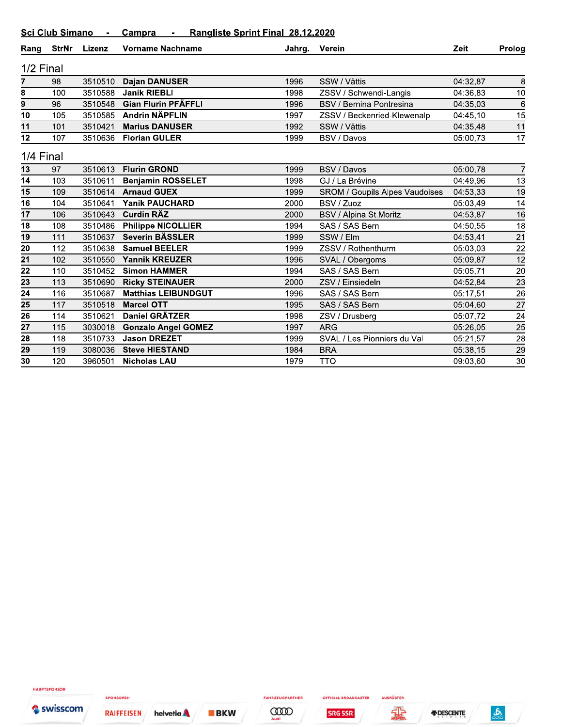## Sci Club Simano - Campra - Rangliste Sprint Final 28.12.2020

| Rang            | <b>StrNr</b> | Lizenz  | <b>Vorname Nachname</b>    | Jahrg. | Verein                                | Zeit     | Prolog          |
|-----------------|--------------|---------|----------------------------|--------|---------------------------------------|----------|-----------------|
| 1/2 Final       |              |         |                            |        |                                       |          |                 |
| $\overline{7}$  | 98           | 3510510 | <b>Dajan DANUSER</b>       | 1996   | SSW / Vättis                          | 04:32,87 | 8               |
| 8               | 100          | 3510588 | <b>Janik RIEBLI</b>        | 1998   | ZSSV / Schwendi-Langis                | 04:36,83 | 10              |
| 9               | 96           | 3510548 | <b>Gian Flurin PFÄFFLI</b> | 1996   | BSV / Bernina Pontresina              | 04:35,03 | 6               |
| 10              | 105          | 3510585 | <b>Andrin NÄPFLIN</b>      | 1997   | ZSSV / Beckenried-Klewenalp           | 04:45,10 | 15              |
| 11              | 101          | 3510421 | <b>Marius DANUSER</b>      | 1992   | SSW / Vättis                          | 04:35.48 | 11              |
| 12              | 107          | 3510636 | <b>Florian GULER</b>       | 1999   | BSV / Davos                           | 05:00,73 | 17              |
| 1/4 Final       |              |         |                            |        |                                       |          |                 |
| 13              | 97           | 3510613 | <b>Flurin GROND</b>        | 1999   | <b>BSV / Davos</b>                    | 05:00,78 | $\overline{7}$  |
| 14              | 103          | 3510611 | <b>Benjamin ROSSELET</b>   | 1998   | GJ / La Brévine                       | 04:49,96 | 13              |
| 15              | 109          | 3510614 | <b>Arnaud GUEX</b>         | 1999   | <b>SROM / Goupils Alpes Vaudoises</b> | 04:53,33 | 19              |
| 16              | 104          | 3510641 | <b>Yanik PAUCHARD</b>      | 2000   | BSV / Zuoz                            | 05:03,49 | 14              |
| 17              | 106          | 3510643 | <b>Curdin RÄZ</b>          | 2000   | <b>BSV / Alpina St.Moritz</b>         | 04:53,87 | 16              |
| 18              | 108          | 3510486 | <b>Philippe NICOLLIER</b>  | 1994   | SAS / SAS Bern                        | 04:50,55 | $\overline{18}$ |
| 19              | 111          | 3510637 | <b>Severin BÄSSLER</b>     | 1999   | SSW / Elm                             | 04:53,41 | 21              |
| 20              | 112          | 3510638 | <b>Samuel BEELER</b>       | 1999   | ZSSV / Rothenthurm                    | 05:03,03 | 22              |
| 21              | 102          | 3510550 | <b>Yannik KREUZER</b>      | 1996   | SVAL / Obergoms                       | 05:09,87 | 12              |
| 22              | 110          | 3510452 | <b>Simon HAMMER</b>        | 1994   | SAS / SAS Bern                        | 05:05,71 | 20              |
| $\overline{23}$ | 113          | 3510690 | <b>Ricky STEINAUER</b>     | 2000   | ZSV / Einsiedeln                      | 04:52,84 | 23              |
| 24              | 116          | 3510687 | <b>Matthias LEIBUNDGUT</b> | 1996   | SAS / SAS Bern                        | 05:17,51 | 26              |
| 25              | 117          | 3510518 | <b>Marcel OTT</b>          | 1995   | SAS / SAS Bern                        | 05:04,60 | 27              |
| 26              | 114          | 3510621 | Daniel GRÄTZER             | 1998   | ZSV / Drusberg                        | 05:07,72 | 24              |
| 27              | 115          | 3030018 | <b>Gonzalo Angel GOMEZ</b> | 1997   | <b>ARG</b>                            | 05:26,05 | 25              |
| 28              | 118          | 3510733 | <b>Jason DREZET</b>        | 1999   | SVAL / Les Pionniers du Val           | 05:21,57 | 28              |
| 29              | 119          | 3080036 | <b>Steve HIESTAND</b>      | 1984   | <b>BRA</b>                            | 05:38,15 | 29              |
| 30              | 120          | 3960501 | <b>Nicholas LAU</b>        | 1979   | <b>TTO</b>                            | 09:03.60 | 30              |

HAUPTSPONSOR

helvetia A **RAIFFEISEN** 

SPONSOREN

**BKW** 

FAHRZEUGPARTNER **COOD** 

**OFFICIAL BROADCASTER SRG SSR** 

AUSRÜSTER

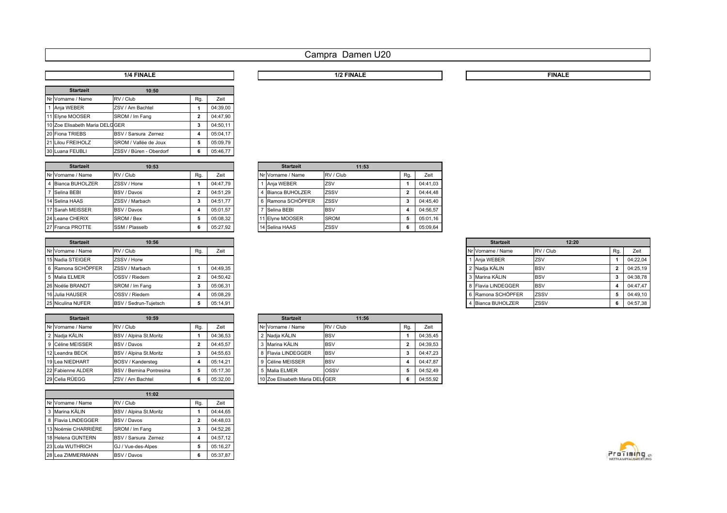## Campra Damen U20

| <b>Startzeit</b>                | 10:50                   |     |          |
|---------------------------------|-------------------------|-----|----------|
| Nr Vorname / Name               | RV / Club               | Rg. | Zeit     |
| Anja WEBER                      | ZSV / Am Bachtel        | 1   | 04:39.00 |
| 11 Elyne MOOSER                 | SROM / Im Fang          | 2   | 04:47.90 |
| 10 Zoe Elisabeth Maria DELG GER |                         | 3   | 04:50.11 |
| 20 Fiona TRIEBS                 | BSV / Sarsura Zernez    | 4   | 05:04.17 |
| 21 Lilou FREIHOLZ               | SROM / Vallée de Joux   | 5   | 05:09.79 |
| 30 Luana FEUBLI                 | ZSSV / Büren - Oberdorf | 6   | 05:46.77 |

| <b>Startzeit</b>  | 10:53          |     |          | <b>Startzeit</b>  | 11:53       |    |          |
|-------------------|----------------|-----|----------|-------------------|-------------|----|----------|
| Nr Vorname / Name | RV / Club      | Rq. | Zeit     | Nr Vorname / Name | RV / Club   | Rq | Zeit     |
| 4 Bianca BUHOLZER | ZSSV / Horw    |     | 04:47.79 | Ania WEBER        | ZSV         |    | 04:41.03 |
| Selina BEBI       | BSV / Davos    |     | 04:51.29 | 4 Bianca BUHOLZER | ZSSV        |    | 04:44.48 |
| 14 Selina HAAS    | ZSSV / Marbach |     | 04:51.77 | 6 Ramona SCHÖPFER | ZSSV        |    | 04:45.40 |
| 17 Sarah MEISSER  | BSV / Davos    |     | 05:01.57 | Selina BEBI       | <b>BSV</b>  |    | 04:56.57 |
| 24 Leane CHERIX   | SROM / Bex     |     | 05:08.32 | 11 Elyne MOOSER   | <b>SROM</b> |    | 05:01.16 |
| 27 Franca PROTTE  | SSM / Plasselb |     | 05:27.92 | 14 Selina HAAS    | ZSSV        |    | 05:09.64 |

| <b>Startzeit</b>  | 10:56                 |     |          |
|-------------------|-----------------------|-----|----------|
| Nr Vorname / Name | RV / Club             | Rg. | Zeit     |
| 15 Nadia STEIGER  | ZSSV / Horw           |     |          |
| 6 Ramona SCHÖPFER | ZSSV / Marbach        |     | 04:49,35 |
| 5 Malia ELMER     | OSSV / Riedern        |     | 04:50,42 |
| 26 Noélie BRANDT  | SROM / Im Fang        |     | 05:06,31 |
| 16 Julia HAUSER   | OSSV / Riedern        |     | 05:08.29 |
| 25 Niculina NUFER | BSV / Sedrun-Tuietsch |     | 05:14,91 |

| <b>Startzeit</b>  | 10:59                           |     |          | <b>Startzeit</b>               | 11:56      |    |          |
|-------------------|---------------------------------|-----|----------|--------------------------------|------------|----|----------|
| Nr Vorname / Name | RV / Club                       | Rq. | Zeit     | Nr Vorname / Name              | RV / Club  | Rq |          |
| 2 Nadja KÄLIN     | BSV / Alpina St.Moritz          |     | 04:36.53 | 2 Nadja KÄLIN                  | <b>BSV</b> |    |          |
| 9 Céline MEISSER  | BSV / Davos                     |     | 04:45.57 | 3 Marina KÄLIN                 | <b>BSV</b> |    |          |
| 12 Leandra BECK   | BSV / Alpina St.Moritz          |     | 04:55.63 | 8 Flavia LINDEGGER             | <b>BSV</b> |    | 04:47.23 |
| 19 Lea NIEDHART   | BOSV / Kandersteg               | 4   | 05:14.21 | 9 Céline MEISSER               | <b>BSV</b> |    | 04:47.87 |
| 22 Fabienne ALDER | <b>BSV / Bernina Pontresina</b> |     | 05:17.30 | 5 Malia ELMER                  | OSSV       |    |          |
| 29 Celia RÜEGG    | ZSV / Am Bachtel                |     | 05:32.00 | 10 Zoe Elisabeth Maria DELIGER |            |    | 04:55.92 |

|   |                     | 11:02                  |     |          |
|---|---------------------|------------------------|-----|----------|
|   | Nr Vorname / Name   | RV / Club              | Rg. | Zeit     |
| 3 | Marina KÄLIN        | BSV / Alpina St.Moritz |     | 04:44.65 |
| 8 | Flavia LINDEGGER    | <b>BSV / Davos</b>     | 2   | 04:48.03 |
|   | 13 Noémie CHARRIÈRE | SROM / Im Fang         | 3   | 04:52.26 |
|   | 18 Helena GUNTERN   | BSV / Sarsura Zernez   | 4   | 04:57.12 |
|   | 23 Lola WUTHRICH    | GJ / Vue-des-Alpes     | 5   | 05:16.27 |
|   | 28 Lea ZIMMERMANN   | <b>BSV / Davos</b>     | 6   | 05:37.87 |

| 10:53 |     |          |  | <b>Startzeit</b>  | 11:53       |     |          |
|-------|-----|----------|--|-------------------|-------------|-----|----------|
|       | Rg. | Zeit     |  | Nr Vorname / Name | RV / Club   | Rg. | Zeit     |
|       |     | 04:47.79 |  | Ania WEBER        | ZSV         |     | 04:41.03 |
|       | 2   | 04:51.29 |  | 4 Bianca BUHOLZER | ZSSV        | 2   | 04:44.48 |
| ch    | 3   | 04:51.77 |  | 6 Ramona SCHÖPFER | ZSSV        | 3   | 04:45.40 |
|       | 4   | 05:01.57 |  | Selina BEBI       | <b>BSV</b>  | 4   | 04:56,57 |
|       | 5   | 05:08.32 |  | 11 Elyne MOOSER   | <b>SROM</b> | 5   | 05:01,16 |
|       | 6   | 05:27.92 |  | 14 Selina HAAS    | ZSSV        | 6   | 05:09.64 |

| Zeit<br>Rg. |  |  |
|-------------|--|--|
|             |  |  |
| 04:49.35    |  |  |
| 04:50.42    |  |  |
| 05:06,31    |  |  |
| 05:08,29    |  |  |
| 05:14,91    |  |  |

| <b>Startzeit</b>  | 10:59                    |     |          |  | <b>Startzeit</b>               | 11:56      |     |          |
|-------------------|--------------------------|-----|----------|--|--------------------------------|------------|-----|----------|
| Nr Vorname / Name | RV / Club                | Rg. | Zeit     |  | Nr Vorname / Name              | RV / Club  | Rg. | Zeit     |
| 2 Nadja KÄLIN     | BSV / Alpina St.Moritz   |     | 04:36.53 |  | 2 Nadia KÄLIN                  | <b>BSV</b> |     | 04:35.45 |
| 9 Céline MEISSER  | <b>BSV / Davos</b>       | 2   | 04:45.57 |  | 3 Marina KÄLIN                 | <b>BSV</b> | 2   | 04:39.53 |
| 12 Leandra BECK   | BSV / Alpina St.Moritz   | 3   | 04:55.63 |  | 8 Flavia LINDEGGER             | <b>BSV</b> | 3   | 04:47.23 |
| 19 Lea NIEDHART   | BOSV / Kandersteg        | 4   | 05:14.21 |  | 9 Céline MEISSER               | <b>BSV</b> |     | 04:47.87 |
| 22 Fabienne ALDER | BSV / Bernina Pontresina | 5   | 05:17.30 |  | 5 Malia ELMER                  | OSSV       | 5   | 04:52.49 |
| 29 Celia RÜEGG    | ZSV / Am Bachtel         | 6   | 05:32,00 |  | 10 Zoe Elisabeth Maria DELIGER |            | 6   | 04:55.92 |



### **1/4 FINALE 1/2 FINALE FINALE**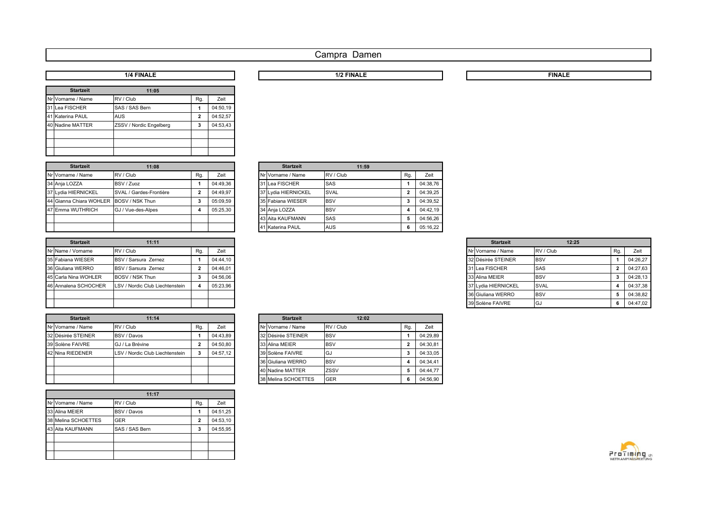## Campra Damen

| <b>1/4 FINALF</b> | <b>1/2 FINALF</b> | ∼іNА⊾ |
|-------------------|-------------------|-------|
|                   |                   |       |

| <b>Startzeit</b>  | 11:05                   |              |          |
|-------------------|-------------------------|--------------|----------|
| Nr Vorname / Name | RV / Club               | Rg.          | Zeit     |
| 31 Lea FISCHER    | SAS / SAS Bern          | 1            | 04:50.19 |
| 41 Katerina PAUL  | <b>AUS</b>              | $\mathbf{2}$ | 04:52.57 |
| 40 Nadine MATTER  | ZSSV / Nordic Engelberg | 3            | 04:53.43 |
|                   |                         |              |          |
|                   |                         |              |          |
|                   |                         |              |          |

| <b>Startzeit</b>                        | 11:08                   |     |          |  | <b>Startzeit</b>    | 11:59       |     |          |
|-----------------------------------------|-------------------------|-----|----------|--|---------------------|-------------|-----|----------|
| Nr Vorname / Name                       | RV / Club               | Rq. | Zeit     |  | Nr Vorname / Name   | RV / Club   | Ra. | Zeit     |
| 34 Ania LOZZA                           | BSV / Zuoz              |     | 04:49.36 |  | 31 Lea FISCHER      | <b>SAS</b>  |     | 04:38.76 |
| 37 Lydia HIERNICKEL                     | SVAL / Gardes-Frontière |     | 04:49.97 |  | 37 Lydia HIERNICKEL | <b>SVAL</b> |     | 04:39,25 |
| 44 Gianna Chiara WOHLER BOSV / NSK Thun |                         |     | 05:09.59 |  | 35 Fabiana WIESER   | <b>IBSV</b> |     | 04:39.52 |
| 47 Emma WUTHRICH                        | GJ / Vue-des-Alpes      | 4   | 05:25.30 |  | 34 Ania LOZZA       | <b>BSV</b>  |     | 04:42.19 |
|                                         |                         |     |          |  | 43 Aita KAUFMANN    | <b>SAS</b>  |     | 04:56.26 |
|                                         |                         |     |          |  | 41 Katerina PAUL    | <b>AUS</b>  | 6   | 05:16.22 |

| <b>Startzeit</b>     | 11:11                           |     |          |
|----------------------|---------------------------------|-----|----------|
| Nr Name / Vorname    | RV / Club                       | Rq. | Zeit     |
| 35 Fabiana WIESER    | BSV / Sarsura Zernez            |     | 04:44.10 |
| 36 Giuliana WERRO    | BSV / Sarsura Zernez            |     | 04:46.01 |
| 45 Carla Nina WOHLER | BOSV / NSK Thun                 |     | 04:56.06 |
| 46 Annalena SCHOCHER | LSV / Nordic Club Liechtenstein |     | 05:23,96 |
|                      |                                 |     |          |
|                      |                                 |     |          |

| <b>Startzeit</b>   | 11:14                           |     |          | <b>Startzeit</b>    | 12:02       |     |          |
|--------------------|---------------------------------|-----|----------|---------------------|-------------|-----|----------|
| Nr Vorname / Name  | RV / Club                       | Rq. | Zeit     | Nr Vorname / Name   | RV / Club   | Rq. |          |
| 32 Désirée STEINER | <b>BSV / Davos</b>              |     | 04:43.89 | 32 Désirée STEINER  | <b>IBSV</b> |     | 04:29.89 |
| 39 Solène FAIVRE   | GJ / La Brévine                 |     | 04:50.80 | 33 Alina MEIER      | <b>BSV</b>  | っ   | 04:30,81 |
| 42 Nina RIEDENER   | LSV / Nordic Club Liechtenstein |     | 04:57.12 | 39 Solène FAIVRE    | lGJ         |     | 04:33.05 |
|                    |                                 |     |          | 36 Giuliana WERRO   | <b>IBSV</b> |     | 04:34.41 |
|                    |                                 |     |          | 40 Nadine MATTER    | ZSSV        | 5   | 04:44.77 |
|                    |                                 |     |          | 38 Melina SCHOETTES | <b>GER</b>  | 6   | 04:56.90 |

| 11:17               |                    |     |          |  |  |  |  |  |
|---------------------|--------------------|-----|----------|--|--|--|--|--|
| Nr Vorname / Name   | RV / Club          | Rg. | Zeit     |  |  |  |  |  |
| 33 Alina MEIER      | <b>BSV / Davos</b> |     | 04:51.25 |  |  |  |  |  |
| 38 Melina SCHOETTES | <b>GER</b>         | 2   | 04:53.10 |  |  |  |  |  |
| 43 Aita KAUFMANN    | SAS / SAS Bern     | з   | 04:55.95 |  |  |  |  |  |
|                     |                    |     |          |  |  |  |  |  |
|                     |                    |     |          |  |  |  |  |  |
|                     |                    |     |          |  |  |  |  |  |

| 11:08       |     |          |  | <b>Startzeit</b>    |             | 11:59 |     |          |
|-------------|-----|----------|--|---------------------|-------------|-------|-----|----------|
|             | Rg. | Zeit     |  | Nr Vorname / Name   | RV / Club   |       | Rg. | Zeit     |
|             |     | 04:49.36 |  | 31 Lea FISCHER      | <b>SAS</b>  |       |     | 04:38.76 |
| s-Frontière | 2   | 04:49.97 |  | 37 Lydia HIERNICKEL | <b>SVAL</b> |       | 2   | 04:39,25 |
| `hun        | 3   | 05:09.59 |  | 35 Fabiana WIESER   | <b>BSV</b>  |       | 3   | 04:39,52 |
| Alpes       | 4   | 05:25.30 |  | 34 Ania LOZZA       | <b>BSV</b>  |       | 4   | 04:42.19 |
|             |     |          |  | 43 Aita KAUFMANN    | SAS         |       | 5   | 04:56.26 |
|             |     |          |  | 41 Katerina PAUL    | <b>AUS</b>  |       | 6   | 05:16.22 |

|             |  |  | <b>Startzeit</b>    | 12:25       |     |          |
|-------------|--|--|---------------------|-------------|-----|----------|
| Zeit<br>Rg. |  |  | Nr Vorname / Name   | RV / Club   | Rg. | Zeit     |
| 04:44.10    |  |  | 32 Désirée STEINER  | <b>BSV</b>  |     | 04:26,27 |
| 04:46.01    |  |  | 31 Lea FISCHER      | <b>SAS</b>  |     | 04:27,63 |
| 04:56.06    |  |  | 33 Alina MEIER      | <b>IBSV</b> |     | 04:28,13 |
| 05:23,96    |  |  | 37 Lydia HIERNICKEL | <b>SVAL</b> |     | 04:37,38 |
|             |  |  | 36 Giuliana WERRO   | <b>BSV</b>  |     | 04:38,82 |
|             |  |  | 39 Solène FAIVRE    | G.          |     | 04:47,02 |

| 11:14             |     |          |  | <b>Startzeit</b>    | 12:02      |     |          |
|-------------------|-----|----------|--|---------------------|------------|-----|----------|
|                   | Rg. | Zeit     |  | Nr Vorname / Name   | RV / Club  | Rg. | Zeit     |
|                   |     | 04:43.89 |  | 32 Désirée STEINER  | <b>BSV</b> |     | 04:29,89 |
| e                 | 2   | 04:50.80 |  | 33 Alina MEIER      | <b>BSV</b> | 2   | 04:30.81 |
| lub Liechtenstein | 3   | 04:57.12 |  | 39 Solène FAIVRE    | <b>GJ</b>  | 3   | 04:33,05 |
|                   |     |          |  | 36 Giuliana WERRO   | <b>BSV</b> | 4   | 04:34.41 |
|                   |     |          |  | 40 Nadine MATTER    | ZSSV       | 5   | 04:44.77 |
|                   |     |          |  | 38 Melina SCHOETTES | <b>GER</b> | 6   | 04:56.90 |

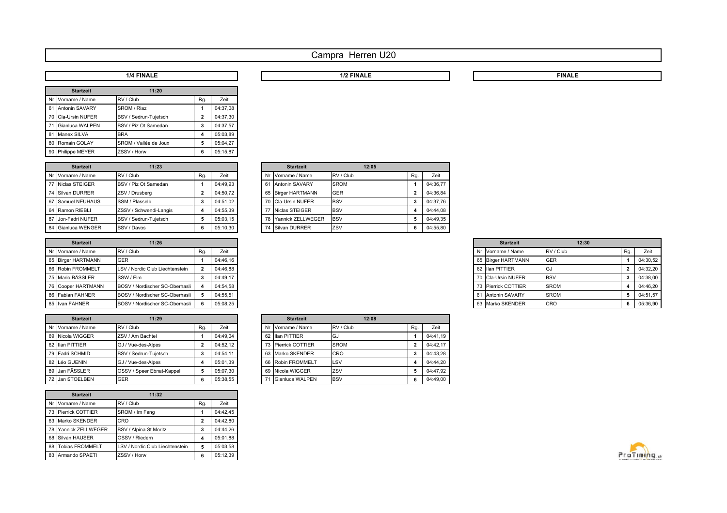## Campra Herren U20

|    | <b>Startzeit</b>      | 11:20                 |     |          |
|----|-----------------------|-----------------------|-----|----------|
| Nr | Vorname / Name        | RV / Club             | Rq. | Zeit     |
| 61 | <b>Antonin SAVARY</b> | SROM / Riaz           | 1   | 04:37.08 |
| 70 | Cla-Ursin NUFER       | BSV / Sedrun-Tujetsch | 2   | 04:37.30 |
| 71 | Gianluca WALPEN       | BSV / Piz Ot Samedan  | 3   | 04:37.57 |
| 81 | Manex SILVA           | <b>BRA</b>            | 4   | 05:03.89 |
| 80 | Romain GOLAY          | SROM / Vallée de Joux | 5   | 05:04.27 |
| 90 | Philippe MEYER        | ZSSV / Horw           | 6   | 05:15.87 |

| <b>Startzeit</b>   | 11:23                  |     |          |    | <b>Startzeit</b>     | 12:05       |     |          |
|--------------------|------------------------|-----|----------|----|----------------------|-------------|-----|----------|
| Nr Vorname / Name  | RV / Club              | Rg. | Zeit     |    | Nr Vorname / Name    | RV / Club   | Rq. | Zeit     |
| 77 Niclas STEIGER  | BSV / Piz Ot Samedan   |     | 04:49.93 |    | 61 Antonin SAVARY    | <b>SROM</b> |     | 04:36.77 |
| 74 Silvan DURRER   | ZSV / Drusbera         |     | 04:50.72 |    | 65 Birger HARTMANN   | <b>GER</b>  |     | 04:36.84 |
| 67 Samuel NEUHAUS  | SSM / Plasselb         |     | 04:51.02 |    | 70 Cla-Ursin NUFER   | <b>IBSV</b> |     | 04:37.76 |
| 64 Ramon RIEBLI    | ZSSV / Schwendi-Langis |     | 04:55.39 | 77 | Niclas STEIGER       | <b>IBSV</b> |     | 04:44.08 |
| 87 Jon-Fadri NUFER | BSV / Sedrun-Tuietsch  |     | 05:03.15 |    | 78 Yannick ZELLWEGER | <b>BSV</b>  |     | 04:49.35 |
| 84 Gianluca WENGER | <b>BSV / Davos</b>     |     | 05:10.30 |    | 74 Silvan DURRER     | <b>IZSV</b> |     | 04:55.80 |

| <b>Startzeit</b>   | 11:26                           |     |          |
|--------------------|---------------------------------|-----|----------|
| Nr Vorname / Name  | RV / Club                       | Ra. | Zeit     |
| 65 Birger HARTMANN | <b>GER</b>                      |     | 04:46,16 |
| 66 Robin FROMMELT  | LSV / Nordic Club Liechtenstein |     | 04:46.88 |
| 75 Mario BÄSSLER   | SSW / Elm                       |     | 04:49.17 |
| 76 Cooper HARTMANN | BOSV / Nordischer SC-Oberhasli  |     | 04:54.58 |
| 86 Fabian FAHNER   | BOSV / Nordischer SC-Oberhasli  |     | 04:55.51 |
| 85 Ivan FAHNER     | BOSV / Nordischer SC-Oberhasli  |     | 05:08.25 |

|    | <b>Startzeit</b>  | <b>Startzeit</b>          |     |          |    |                    |
|----|-------------------|---------------------------|-----|----------|----|--------------------|
|    |                   | 11:29                     |     |          |    |                    |
|    | Nr Vorname / Name | RV / Club                 | Rq. | Zeit     | Nr | Vorname / Nar      |
| 69 | Nicola WIGGER     | ZSV / Am Bachtel          |     | 04:49.04 | 62 | Illan PITTIER      |
| 62 | Ilan PITTIER      | GJ / Vue-des-Alpes        | 2   | 04:52.12 | 73 | Pierrick COTT      |
|    | 79 Fadri SCHMID   | BSV / Sedrun-Tuietsch     | 3   | 04:54.11 | 63 | Marko SKEND        |
| 82 | Léo GUENIN        | GJ / Vue-des-Alpes        | 4   | 05:01.39 | 66 | <b>Robin FROMM</b> |
| 89 | Jan FÄSSLER       | OSSV / Speer Ebnat-Kappel | 5   | 05:07.30 | 69 | Nicola WIGGE       |
|    | 72 Jan STOFI REN  | GER                       | а   | 05.3855  | 71 | Gianluca WAL       |

|    | <b>Startzeit</b>        | 11:32                           |     |          |
|----|-------------------------|---------------------------------|-----|----------|
| Nr | Vorname / Name          | RV / Club                       | Rq. | Zeit     |
| 73 | <b>Pierrick COTTIER</b> | SROM / Im Fang                  |     | 04:42.45 |
| 63 | Marko SKENDER           | CRO                             | 2   | 04:42.80 |
| 78 | Yannick ZELLWEGER       | BSV / Alpina St.Moritz          | 3   | 04:44.26 |
| 68 | Silvan HAUSER           | OSSV / Riedern                  | 4   | 05:01.88 |
| 88 | <b>Tobias FROMMELT</b>  | LSV / Nordic Club Liechtenstein | 5   | 05:03.58 |
| 83 | Armando SPAETI          | ZSSV / Horw                     | 6   | 05:12.39 |

|    | <b>Startzeit</b>       | 12.UJ       |     |          |
|----|------------------------|-------------|-----|----------|
| Nr | Vorname / Name         | RV / Club   | Rg. | Zeit     |
| 61 | Antonin SAVARY         | <b>SROM</b> | 1   | 04:36.77 |
| 65 | <b>Birger HARTMANN</b> | GER         | 2   | 04:36.84 |
| 70 | Cla-Ursin NUFER        | <b>BSV</b>  | 3   | 04:37.76 |
| 77 | Niclas STEIGER         | <b>BSV</b>  | 4   | 04:44.08 |
| 78 | Yannick ZELLWEGER      | <b>BSV</b>  | 5   | 04:49.35 |
| 74 | Silvan DURRER          | ZSV         | 6   | 04:55.80 |
|    |                        |             |     |          |

**12:08 12:08** 

Nr Vorname / Name RV / Club Rg. 2eit 69 Nicola WIGGER ZSV / Am Bachtel **1** 04:49,04 62 Ilan PITTIER GJ **1** 04:41,19 **73 Pierrick COTTIER** SROM **2** 04:42,17 79 Fadri SCHMID BSV / Sedrun-Tujetsch **3** 04:54,11 63 Marko SKENDER CRO **3** 04:43,28 88 Robin FROMMELT LSV **4** 04:44,20 89 Jan FÄSSLER OSSV / Speer Ebnat-Kappel **5** 05:07,30 69 Nicola WIGGER ZSV **5** 04:47,92 72 Jan STOELBEN GER **6** 05:38,55 71 Gianluca WALPEN BSV **6** 04:49,00

| 65 Birger HARTMANN | <b>GER</b>                      | 04:46.16 |
|--------------------|---------------------------------|----------|
| 66 Robin FROMMELT  | LSV / Nordic Club Liechtenstein | 04:46.88 |
| 75 Mario BÄSSLER   | SSW / Elm                       | 04:49.17 |
| 76 Cooper HARTMANN | BOSV / Nordischer SC-Oberhasli  | 04:54.58 |
| 86 Fabian FAHNER   | BOSV / Nordischer SC-Oberhasli  | 04:55.51 |
| 85 Ivan FAHNER     | BOSV / Nordischer SC-Oberhasli  | 05:08.25 |
|                    |                                 |          |

### **1/4 FINALE 1/2 FINALE FINALE**

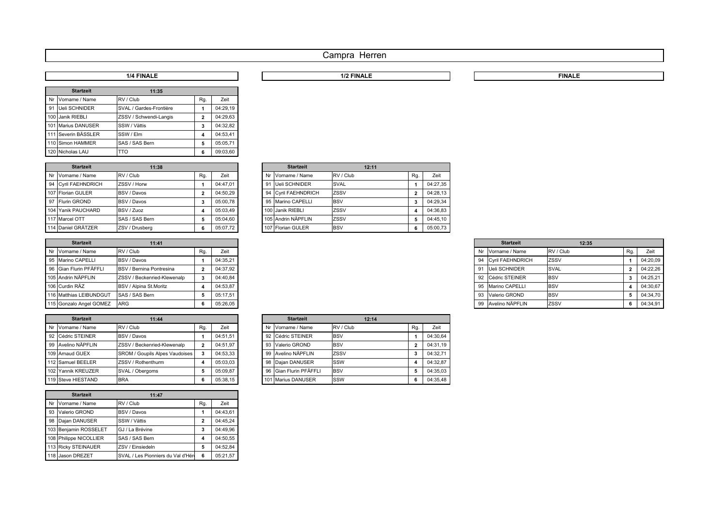## Campra Herren

|     | <b>Startzeit</b>     | 11:35                   |     |          |
|-----|----------------------|-------------------------|-----|----------|
| Nr  | Vorname / Name       | RV / Club               | Rg. | Zeit     |
| 91  | <b>Ueli SCHNIDER</b> | SVAL / Gardes-Frontière |     | 04:29.19 |
| 100 | Janik RIEBLI         | ZSSV / Schwendi-Langis  | 2   | 04:29.63 |
|     | 101 Marius DANUSER   | SSW / Vättis            | 3   | 04:32.82 |
| 111 | Severin BÄSSLER      | SSW / Elm               | 4   | 04:53.41 |
| 110 | Simon HAMMER         | SAS / SAS Bern          | 5   | 05:05.71 |
|     | 120 Nicholas LAU     | TTO                     | 6   | 09:03.60 |

| <b>Startzeit</b>    | 11:38              |     |          |    | <b>Startzeit</b>    | 12:11       |     |          |
|---------------------|--------------------|-----|----------|----|---------------------|-------------|-----|----------|
| Nr Vorname / Name   | RV / Club          | Rq. | Zeit     |    | Nr Vorname / Name   | RV / Club   | Rg. | Zeit     |
| 94 Cyril FAEHNDRICH | ZSSV / Horw        |     | 04:47.01 | 91 | Ueli SCHNIDER       | <b>SVAL</b> |     | 04:27.35 |
| 107 Florian GULER   | <b>BSV / Davos</b> |     | 04:50.29 |    | 94 Cvril FAEHNDRICH | ZSSV        |     | 04:28.13 |
| 97 Flurin GROND     | <b>BSV / Davos</b> |     | 05:00.78 |    | 95 Marino CAPELLI   | <b>BSV</b>  |     | 04:29.34 |
| 104 Yanik PAUCHARD  | BSV / Zuoz         | 4   | 05:03.49 |    | 100 Janik RIEBLI    | ZSSV        |     | 04:36.83 |
| 117 Marcel OTT      | SAS / SAS Bern     |     | 05:04.60 |    | 105 Andrin NÄPFLIN  | ZSSV        |     | 04:45.10 |
| 114 Daniel GRÄTZER  | ZSV / Drusbera     | 6   | 05:07.72 |    | 107 Florian GULER   | <b>BSV</b>  | 6   | 05:00.73 |

| <b>Startzeit</b>        | 11:41                       |          |
|-------------------------|-----------------------------|----------|
| Nr Vorname / Name       | RV / Club                   | Zeit     |
| 95 Marino CAPELLI       | BSV / Davos                 | 04:35,21 |
| 96 Gian Flurin PFÄFFLI  | BSV / Bernina Pontresina    | 04:37,92 |
| 105 Andrin NÄPFLIN      | ZSSV / Beckenried-Klewenalp | 04:40.84 |
| 106 Curdin RÄZ          | BSV / Alpina St.Moritz      | 04:53.87 |
| 116 Matthias LEIBUNDGUT | SAS / SAS Bern              | 05:17,51 |
| 115 Gonzalo Angel GOMEZ | <b>ARG</b>                  | 05:26,05 |

| <b>Startzeit</b>   | 11:44                          |     |          |    | <b>Startzeit</b>       | 12:14       |     |          |
|--------------------|--------------------------------|-----|----------|----|------------------------|-------------|-----|----------|
| Nr Vorname / Name  | RV / Club                      | Rq. | Zeit     |    | Nr Vorname / Name      | RV / Club   | Rg. |          |
| 92 Cédric STEINER  | BSV / Davos                    |     | 04:51.51 |    | 92 Cédric STEINER      | <b>BSV</b>  |     | 04:30.64 |
| 99 Avelino NÄPFLIN | ZSSV / Beckenried-Klewenalp    |     | 04:51.97 | 93 | Valerio GROND          | <b>BSV</b>  |     | 04:31.19 |
| 109 Arnaud GUEX    | SROM / Goupils Alpes Vaudoises |     | 04:53.33 |    | 99 Avelino NÄPFLIN     | ZSSV        |     | 04:32.71 |
| 112 Samuel BEELER  | ZSSV / Rothenthurm             |     | 05:03.03 |    | 98 Daian DANUSER       | <b>SSW</b>  |     | 04:32.87 |
| 102 Yannik KREUZER | SVAL / Obergoms                |     | 05:09.87 |    | 96 Gian Flurin PFÄFFLI | <b>IBSV</b> |     | 04:35.03 |
| 119 Steve HIESTAND | <b>BRA</b>                     |     | 05:38.15 |    | 101 Marius DANUSER     | <b>SSW</b>  |     | 04:35.48 |

|    | <b>Startzeit</b>       | 11:47                             |     |          |  |  |
|----|------------------------|-----------------------------------|-----|----------|--|--|
| Nr | Vorname / Name         | RV / Club                         | Rg. | Zeit     |  |  |
| 93 | Valerio GROND          | <b>BSV / Davos</b>                | 1   | 04:43.61 |  |  |
| 98 | Dajan DANUSER          | SSW / Vättis                      | 2   | 04:45.24 |  |  |
|    | 103 Benjamin ROSSELET  | GJ / La Brévine                   | 3   | 04:49.96 |  |  |
|    | 108 Philippe NICOLLIER | SAS / SAS Bern                    | 4   | 04:50.55 |  |  |
|    | 113 Ricky STEINAUER    | ZSV / Einsiedeln                  | 5   | 04:52.84 |  |  |
|    | 118 Jason DREZET       | SVAL / Les Pionniers du Val d'Hén | 6   | 05:21.57 |  |  |

| <b>1/4 FINALF</b> | $\overline{AB}$ $\overline{B}$ $\overline{B}$ $\overline{B}$ $\overline{B}$<br>™- IN⊷<br>-- | SINA. |
|-------------------|---------------------------------------------------------------------------------------------|-------|
|                   |                                                                                             |       |

| 11:38 |             |          |    | <b>Startzeit</b>        | 12:11       |                |          |
|-------|-------------|----------|----|-------------------------|-------------|----------------|----------|
|       | Rg.<br>Zeit |          | Nr | Vorname / Name          | RV / Club   | Rg.            | Zeit     |
|       |             | 04:47.01 | 91 | Ueli SCHNIDER           | <b>SVAL</b> |                | 04:27.35 |
|       | 2           | 04:50.29 | 94 | <b>Cyril FAEHNDRICH</b> | ZSSV        | $\overline{2}$ | 04:28.13 |
|       | 3           | 05:00.78 | 95 | Marino CAPELLI          | <b>BSV</b>  | 3              | 04:29.34 |
|       | 4           | 05:03.49 |    | 100 Janik RIEBLI        | ZSSV        | 4              | 04:36.83 |
| rn    | 5           | 05:04.60 |    | 105 Andrin NÄPFLIN      | ZSSV        | 5              | 04:45.10 |
|       | 6           | 05:07.72 |    | 107 Florian GULER       | <b>BSV</b>  | 6              | 05:00.73 |
|       |             |          |    |                         |             |                |          |

| <b>Startzeit</b>            | 11:41                       |          |
|-----------------------------|-----------------------------|----------|
| Nr Vorname / Name           | RV / Club                   | Zeit     |
| 95 Marino CAPELLI           | <b>BSV / Davos</b>          | 04:35.21 |
| 96 Gian Flurin PFÄFFLI      | BSV / Bernina Pontresina    | 04:37.92 |
| 105 Andrin NÄPFLIN          | ZSSV / Beckenried-Klewenalp | 04:40.84 |
| 106 Curdin RÄZ              | BSV / Alpina St.Moritz      | 04:53.87 |
| 116 Matthias LEIBUNDGUT     | <b>SAS / SAS Bern</b>       | 05:17.51 |
| 115 Gonzalo Angel GOMEZ ARG |                             | 05:26,05 |

| <b>Startzeit</b>   |                                |     |          | <b>Startzeit</b> | 12:14                  |             |     |          |
|--------------------|--------------------------------|-----|----------|------------------|------------------------|-------------|-----|----------|
| Nr Vorname / Name  | RV / Club                      | Rg. | Zeit     | Nr               | Vorname / Name         | RV / Club   | Rg. | Zeit     |
| 92 Cédric STEINER  | BSV / Davos                    |     | 04:51.51 |                  | 92 Cédric STEINER      | <b>IBSV</b> |     | 04:30.64 |
| 99 Avelino NÄPFLIN | ZSSV / Beckenried-Klewenalp    |     | 04:51.97 |                  | 93 Valerio GROND       | <b>BSV</b>  | 2   | 04:31.19 |
| 109 Arnaud GUEX    | SROM / Goupils Alpes Vaudoises |     | 04:53.33 |                  | 99 Avelino NÄPFLIN     | ZSSV        | 3   | 04:32.71 |
| 112 Samuel BEELER  | ZSSV / Rothenthurm             | 4   | 05:03.03 |                  | 98 Dajan DANUSER       | <b>ISSW</b> | 4   | 04:32.87 |
| 102 Yannik KREUZER | SVAL / Obergoms                |     | 05:09.87 |                  | 96 Gian Flurin PFÄFFLI | <b>IBSV</b> | 5   | 04:35.03 |
| 119 Steve HIESTAND | <b>BRA</b>                     | 6   | 05:38,15 |                  | 101 Marius DANUSER     | <b>ISSW</b> | 6   | 04:35.48 |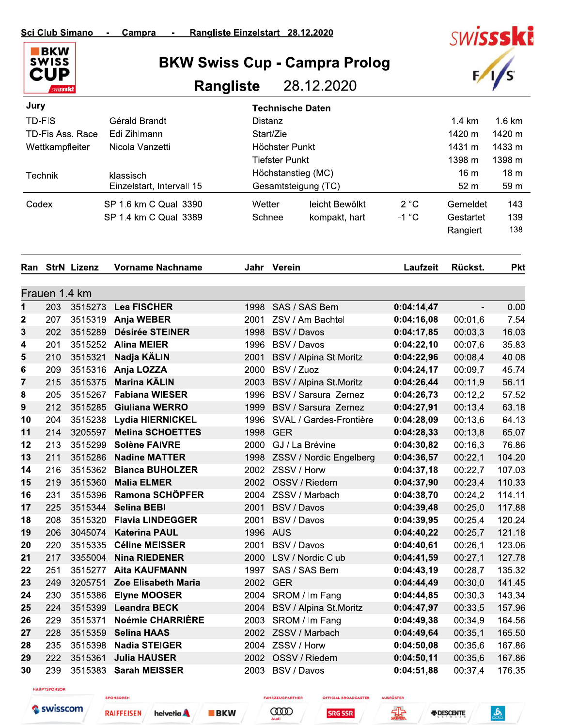Campra - Rangliste Einzelstart 28.12.2020



## **BKW Swiss Cup - Campra Prolog**



|                 | <b><i>Swissski</i></b>           |                    |                              | 28.12.2020<br><b>Rangliste</b> |                     |                         |              | ∽                |            |  |
|-----------------|----------------------------------|--------------------|------------------------------|--------------------------------|---------------------|-------------------------|--------------|------------------|------------|--|
| Jury            |                                  |                    |                              |                                |                     | <b>Technische Daten</b> |              |                  |            |  |
|                 | <b>TD-FIS</b>                    |                    | Gérald Brandt                | Distanz                        |                     |                         |              | $1.4 \text{ km}$ | 1.6 km     |  |
|                 | Edi Zihlmann<br>TD-Fis Ass. Race |                    |                              |                                | Start/Ziel          |                         |              | 1420 m           | 1420 m     |  |
| Wettkampfleiter |                                  |                    | Nicola Vanzetti              |                                | Höchster Punkt      |                         |              | 1431 m           | 1433 m     |  |
|                 |                                  |                    |                              |                                | Tiefster Punkt      |                         |              | 1398 m           | 1398 m     |  |
|                 | Technik<br>klassisch             |                    |                              |                                |                     | Höchstanstieg (MC)      |              | 16 m             | 18 m       |  |
|                 |                                  |                    | Einzelstart, Intervall 15    |                                | Gesamtsteigung (TC) |                         |              | 52 m             | 59 m       |  |
|                 | Codex                            |                    | SP 1.6 km C Qual 3390        | Wetter                         |                     | leicht Bewölkt          | 2 °C         | Gemeldet         | 143        |  |
|                 |                                  |                    | SP 1.4 km C Qual 3389        | Schnee                         |                     | kompakt, hart           | $-1$ °C      | Gestartet        | 139        |  |
|                 |                                  |                    |                              |                                |                     |                         |              | Rangiert         | 138        |  |
| Ran             |                                  | <b>StrN Lizenz</b> | <b>Vorname Nachname</b>      | Jahr                           | Verein              |                         | Laufzeit     | Rückst.          | <b>Pkt</b> |  |
|                 |                                  | Frauen 1.4 km      |                              |                                |                     |                         |              |                  |            |  |
|                 | 203                              | 3515273            | <b>Lea FISCHER</b>           | 1998                           |                     | SAS / SAS Bern          | 0:04:14,47   |                  | 0.00       |  |
| 2               | 207                              | 3515319            | Anja WEBER                   | 2001                           |                     | ZSV / Am Bachtel        | 0:04:16,08   | 00:01,6          | 7.54       |  |
| 3               | 202                              | 3515289            | <b>Désirée STEINER</b>       | 1998                           |                     | BSV / Davos             | 0:04:17,85   | 00:03,3          | 16.03      |  |
| 4               | 201                              | 3515252            | <b>Alina MEIER</b>           | 1996                           |                     | BSV / Davos             | 0:04:22,10   | 00:07,6          | 35.83      |  |
| 5               | 210                              | 3515321            | Nadja KÄLIN                  | 2001                           |                     | BSV / Alpina St.Moritz  | 0:04:22,96   | 00:08,4          | 40.08      |  |
| ∼               | nnn                              |                    | $0.545040$ $A_{12}$ $A_{23}$ |                                | $0.000 - 0.0117$    |                         | . <i>.</i> 7 | 00.007           | $1 - 71$   |  |

| 5  | 210                 | 3515321 | Nadja KÄLIN                | 2001 | BSV / Alpina St.Moritz  | 0:04:22,96 | 00:08,4 | 40.08  |
|----|---------------------|---------|----------------------------|------|-------------------------|------------|---------|--------|
| 6  | 209                 | 3515316 | Anja LOZZA                 | 2000 | BSV / Zuoz              | 0:04:24,17 | 00:09,7 | 45.74  |
| 7  | 215                 | 3515375 | <b>Marina KÄLIN</b>        | 2003 | BSV / Alpina St.Moritz  | 0:04:26,44 | 00:11,9 | 56.11  |
| 8  | 205                 | 3515267 | <b>Fabiana WIESER</b>      | 1996 | BSV / Sarsura Zernez    | 0:04:26,73 | 00:12,2 | 57.52  |
| 9  | 212                 | 3515285 | <b>Giuliana WERRO</b>      | 1999 | BSV / Sarsura Zernez    | 0:04:27,91 | 00:13,4 | 63.18  |
| 10 | 204                 | 3515238 | <b>Lydia HIERNICKEL</b>    | 1996 | SVAL / Gardes-Frontière | 0:04:28,09 | 00:13,6 | 64.13  |
| 11 | 214                 | 3205597 | <b>Melina SCHOETTES</b>    | 1998 | <b>GER</b>              | 0:04:28,33 | 00:13,8 | 65.07  |
| 12 | 213                 | 3515299 | <b>Solène FAIVRE</b>       | 2000 | GJ / La Brévine         | 0:04:30,82 | 00:16,3 | 76.86  |
| 13 | 211                 | 3515286 | <b>Nadine MATTER</b>       | 1998 | ZSSV / Nordic Engelberg | 0:04:36,57 | 00:22,1 | 104.20 |
| 14 | 216                 | 3515362 | <b>Bianca BUHOLZER</b>     | 2002 | ZSSV / Horw             | 0:04:37,18 | 00:22,7 | 107.03 |
| 15 | 219                 | 3515360 | <b>Malia ELMER</b>         | 2002 | OSSV / Riedern          | 0:04:37,90 | 00:23,4 | 110.33 |
| 16 | 231                 | 3515396 | Ramona SCHÖPFER            | 2004 | ZSSV / Marbach          | 0:04:38,70 | 00:24,2 | 114.11 |
| 17 | 225                 | 3515344 | <b>Selina BEBI</b>         | 2001 | BSV / Davos             | 0:04:39,48 | 00:25,0 | 117.88 |
| 18 | 208                 | 3515320 | <b>Flavia LINDEGGER</b>    | 2001 | BSV / Davos             | 0:04:39,95 | 00:25,4 | 120.24 |
| 19 | 206                 | 3045074 | <b>Katerina PAUL</b>       | 1996 | <b>AUS</b>              | 0:04:40,22 | 00:25,7 | 121.18 |
| 20 | 220                 | 3515335 | <b>Céline MEISSER</b>      | 2001 | BSV / Davos             | 0:04:40,61 | 00:26,1 | 123.06 |
| 21 | 217                 | 3355004 | <b>Nina RIEDENER</b>       | 2000 | LSV / Nordic Club       | 0:04:41,59 | 00:27,1 | 127.78 |
| 22 | 251                 | 3515277 | <b>Aita KAUFMANN</b>       | 1997 | SAS / SAS Bern          | 0:04:43,19 | 00:28,7 | 135.32 |
| 23 | 249                 | 3205751 | <b>Zoe Elisabeth Maria</b> | 2002 | <b>GER</b>              | 0:04:44,49 | 00:30,0 | 141.45 |
| 24 | 230                 | 3515386 | <b>Elyne MOOSER</b>        | 2004 | SROM / Im Fang          | 0:04:44,85 | 00:30,3 | 143.34 |
| 25 | 224                 | 3515399 | <b>Leandra BECK</b>        | 2004 | BSV / Alpina St.Moritz  | 0:04:47,97 | 00:33,5 | 157.96 |
| 26 | 229                 | 3515371 | <b>Noémie CHARRIÈRE</b>    | 2003 | SROM / Im Fang          | 0:04:49,38 | 00:34,9 | 164.56 |
| 27 | 228                 | 3515359 | <b>Selina HAAS</b>         | 2002 | ZSSV / Marbach          | 0:04:49,64 | 00:35,1 | 165.50 |
| 28 | 235                 | 3515398 | <b>Nadia STEIGER</b>       | 2004 | ZSSV / Horw             | 0:04:50,08 | 00:35,6 | 167.86 |
| 29 | 222                 | 3515361 | <b>Julia HAUSER</b>        | 2002 | OSSV / Riedern          | 0:04:50,11 | 00:35,6 | 167.86 |
| 30 | 239                 | 3515383 | <b>Sarah MEISSER</b>       | 2003 | BSV / Davos             | 0:04:51,88 | 00:37,4 | 176.35 |
|    | <b>HAUPTSPONSOR</b> |         |                            |      |                         |            |         |        |

Swisscom

SPONSOREN

**RAIFFEISEN** 

helvetia A **BKW**  **COOD** 

FAHRZEUGPARTNER

**SRG SSR** 

**OFFICIAL BROADCASTER** 



 $\mathbf{r}$ 

*FIDESCENTE*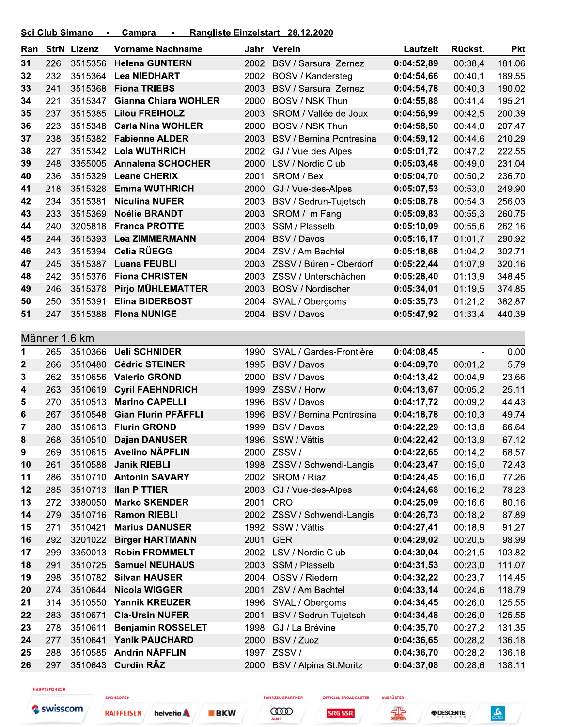Sci Club Simano - Campra - Rangliste Einzelstart 28.12.2020

| Ran |     | <b>StrN Lizenz</b> | <b>Vorname Nachname</b>     |      | Jahr Verein                     | Laufzeit   | Rückst.        | <b>Pkt</b> |
|-----|-----|--------------------|-----------------------------|------|---------------------------------|------------|----------------|------------|
| 31  | 226 | 3515356            | <b>Helena GUNTERN</b>       |      | 2002 BSV / Sarsura Zernez       | 0:04:52,89 | 00:38,4        | 181.06     |
| 32  | 232 | 3515364            | <b>Lea NIEDHART</b>         |      | 2002 BOSV / Kandersteg          | 0:04:54,66 | 00:40,1        | 189.55     |
| 33  | 241 | 3515368            | <b>Fiona TRIEBS</b>         | 2003 | <b>BSV / Sarsura Zernez</b>     | 0:04:54,78 | 00:40,3        | 190.02     |
| 34  | 221 | 3515347            | <b>Gianna Chiara WOHLER</b> | 2000 | <b>BOSV / NSK Thun</b>          | 0:04:55,88 | 00:41,4        | 195.21     |
| 35  | 237 | 3515385            | <b>Lilou FREIHOLZ</b>       | 2003 | SROM / Vallée de Joux           | 0:04:56,99 | 00:42,5        | 200.39     |
| 36  | 223 | 3515348            | <b>Carla Nina WOHLER</b>    | 2000 | BOSV / NSK Thun                 | 0:04:58,50 | 00:44,0        | 207.47     |
| 37  | 238 | 3515382            | <b>Fabienne ALDER</b>       | 2003 | <b>BSV / Bernina Pontresina</b> | 0:04:59,12 | 00:44,6        | 210.29     |
| 38  | 227 | 3515342            | <b>Lola WUTHRICH</b>        | 2002 | GJ / Vue-des-Alpes              | 0:05:01,72 | 00:47,2        | 222.55     |
| 39  | 248 | 3355005            | <b>Annalena SCHOCHER</b>    | 2000 | LSV / Nordic Club               | 0:05:03,48 | 00:49,0        | 231.04     |
| 40  | 236 | 3515329            | <b>Leane CHERIX</b>         | 2001 | SROM / Bex                      | 0:05:04,70 | 00:50,2        | 236.70     |
| 41  | 218 | 3515328            | <b>Emma WUTHRICH</b>        | 2000 | GJ / Vue-des-Alpes              | 0:05:07,53 | 00:53,0        | 249.90     |
| 42  | 234 | 3515381            | <b>Niculina NUFER</b>       | 2003 | BSV / Sedrun-Tujetsch           | 0:05:08,78 | 00:54,3        | 256.03     |
| 43  | 233 | 3515369            | <b>Noélie BRANDT</b>        | 2003 | SROM / Im Fang                  | 0:05:09,83 | 00:55,3        | 260.75     |
| 44  | 240 | 3205818            | <b>Franca PROTTE</b>        | 2003 | SSM / Plasselb                  | 0:05:10,09 | 00:55,6        | 262.16     |
| 45  | 244 | 3515393            | <b>Lea ZIMMERMANN</b>       |      | 2004 BSV / Davos                | 0:05:16,17 | 01:01,7        | 290.92     |
| 46  | 243 | 3515394            | Celia RÜEGG                 | 2004 | ZSV / Am Bachtel                | 0:05:18,68 | 01:04,2        | 302.71     |
| 47  | 245 | 3515387            | <b>Luana FEUBLI</b>         | 2003 | ZSSV / Büren - Oberdorf         | 0:05:22,44 | 01:07.9        | 320.16     |
| 48  | 242 | 3515376            | <b>Fiona CHRISTEN</b>       | 2003 | ZSSV / Unterschächen            | 0:05:28,40 | 01:13,9        | 348.45     |
| 49  | 246 | 3515378            | <b>Pirjo MÜHLEMATTER</b>    | 2003 | <b>BOSV / Nordischer</b>        | 0:05:34,01 | 01:19,5        | 374.85     |
| 50  | 250 | 3515391            | <b>Elina BIDERBOST</b>      | 2004 | SVAL / Obergoms                 | 0:05:35,73 | 01:21,2        | 382.87     |
| 51  | 247 | 3515388            | <b>Fiona NUNIGE</b>         |      | 2004 BSV / Davos                | 0:05:47,92 | 01:33,4        | 440.39     |
|     |     | Männer 1.6 km      |                             |      |                                 |            |                |            |
| 1   | 265 | 3510366            | <b>Ueli SCHNIDER</b>        | 1990 | SVAL / Gardes-Frontière         | 0:04:08,45 | $\blacksquare$ | 0.00       |
| 2   | 266 | 3510480            | <b>Cédric STEINER</b>       | 1995 | BSV / Davos                     | 0:04:09,70 | 00:01,2        | 5.79       |
| 3   | 262 | 3510656            | <b>Valerio GROND</b>        | 2000 | BSV / Davos                     | 0:04:13,42 | 00:04,9        | 23.66      |
| 4   | 263 | 3510619            | <b>Cyril FAEHNDRICH</b>     | 1999 | ZSSV / Horw                     | 0:04:13,67 | 00:05,2        | 25.11      |
| 5   | 270 | 3510513            | <b>Marino CAPELLI</b>       | 1996 | BSV / Davos                     | 0:04:17,72 | 00:09,2        | 44.43      |
| 6   | 267 | 3510548            | <b>Gian Flurin PFÄFFLI</b>  | 1996 | <b>BSV / Bernina Pontresina</b> | 0:04:18,78 | 00:10,3        | 49.74      |
| 7   | 280 | 3510613            | <b>Flurin GROND</b>         | 1999 | BSV / Davos                     | 0:04:22,29 | 00:13,8        | 66.64      |
| 8   | 268 | 3510510            | <b>Dajan DANUSER</b>        |      | 1996 SSW / Vättis               | 0:04:22,42 | 00:13,9        | 67.12      |
| q   | 269 |                    | 3510615 Avelino NÄPFLIN     |      | 2000 ZSSV/                      | 0:04:22,65 | 00:14,2        | 68.57      |
| 10  | 261 |                    | 3510588 Janik RIEBLI        |      | 1998 ZSSV / Schwendi-Langis     | 0:04:23,47 | 00:15,0        | 72.43      |
| 11  | 286 | 3510710            | <b>Antonin SAVARY</b>       |      | 2002 SROM / Riaz                | 0:04:24,45 | 00:16,0        | 77.26      |
| 12  | 285 | 3510713            | <b>Ilan PITTIER</b>         | 2003 | GJ / Vue-des-Alpes              | 0:04:24,68 | 00:16,2        | 78.23      |
| 13  | 272 | 3380050            | <b>Marko SKENDER</b>        | 2001 | <b>CRO</b>                      | 0:04:25,09 | 00:16,6        | 80.16      |
| 14  | 279 | 3510716            | <b>Ramon RIEBLI</b>         |      | 2002 ZSSV / Schwendi-Langis     | 0:04:26,73 | 00:18,2        | 87.89      |
| 15  | 271 | 3510421            | <b>Marius DANUSER</b>       |      | 1992 SSW / Vättis               | 0:04:27,41 | 00:18,9        | 91.27      |
| 16  | 292 | 3201022            | <b>Birger HARTMANN</b>      | 2001 | <b>GER</b>                      | 0:04:29,02 | 00:20,5        | 98.99      |
| 17  | 299 | 3350013            | <b>Robin FROMMELT</b>       |      | 2002 LSV / Nordic Club          | 0:04:30,04 | 00:21,5        | 103.82     |
| 18  | 291 | 3510725            | <b>Samuel NEUHAUS</b>       |      | 2003 SSM / Plasselb             | 0:04:31,53 | 00:23,0        | 111.07     |
| 19  | 298 | 3510782            | <b>Silvan HAUSER</b>        | 2004 | OSSV / Riedern                  | 0:04:32,22 | 00:23,7        | 114.45     |
| 20  | 274 | 3510644            | <b>Nicola WIGGER</b>        | 2001 | ZSV / Am Bachtel                | 0:04:33,14 | 00:24,6        | 118.79     |
| 21  | 314 | 3510550            | <b>Yannik KREUZER</b>       | 1996 | SVAL / Obergoms                 | 0:04:34,45 | 00:26,0        | 125.55     |
| 22  | 283 | 3510671            | <b>Cla-Ursin NUFER</b>      | 2001 | BSV / Sedrun-Tujetsch           | 0:04:34,48 | 00:26,0        | 125.55     |
| 23  | 278 | 3510611            | <b>Benjamin ROSSELET</b>    | 1998 | GJ / La Brévine                 | 0:04:35,70 | 00:27,2        | 131.35     |
| 24  | 277 | 3510641            | <b>Yanik PAUCHARD</b>       | 2000 | BSV / Zuoz                      | 0:04:36,65 | 00:28,2        | 136.18     |
| 25  | 288 | 3510585            | <b>Andrin NÄPFLIN</b>       |      | 1997 ZSSV /                     | 0:04:36,70 | 00:28,2        | 136.18     |
| 26  | 297 | 3510643            | <b>Curdin RÄZ</b>           |      | 2000 BSV / Alpina St.Moritz     | 0:04:37,08 | 00:28,6        | 138.11     |

Swisscom

SPONSOREN

**RAIFFEISEN** 

HAUPTSPONSOR

helvetia A

**BKW** 



**OFFICIAL BROADCASTER** 

FAHRZEUGPARTNER

靐

AUSRÜSTER

 $\frac{\delta}{\delta \omega}$ 

*FIDESCENTE*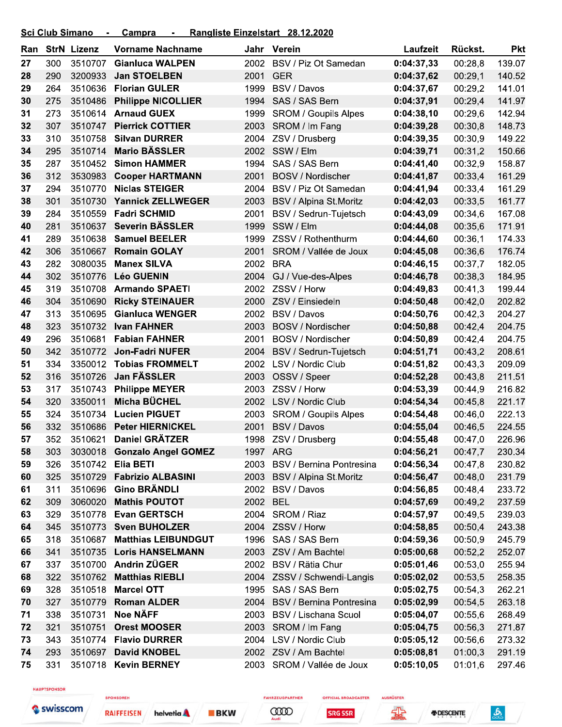|          |            | Ran StrN Lizenz    | <b>Vorname Nachname</b>                     |              | Jahr Verein                     | Laufzeit                 | Rückst.            | <b>Pkt</b>       |
|----------|------------|--------------------|---------------------------------------------|--------------|---------------------------------|--------------------------|--------------------|------------------|
| 27       | 300        | 3510707            | <b>Gianluca WALPEN</b>                      | 2002         | BSV / Piz Ot Samedan            | 0:04:37,33               | 00:28,8            | 139.07           |
| 28       | 290        | 3200933            | <b>Jan STOELBEN</b>                         | 2001         | <b>GER</b>                      | 0:04:37,62               | 00:29,1            | 140.52           |
| 29       | 264        | 3510636            | <b>Florian GULER</b>                        | 1999         | BSV / Davos                     | 0:04:37,67               | 00:29,2            | 141.01           |
| 30       | 275        | 3510486            | <b>Philippe NICOLLIER</b>                   | 1994         | SAS / SAS Bern                  | 0:04:37,91               | 00:29,4            | 141.97           |
| 31       | 273        | 3510614            | <b>Arnaud GUEX</b>                          | 1999         | <b>SROM / Goupils Alpes</b>     | 0:04:38,10               | 00:29,6            | 142.94           |
| 32       | 307        | 3510747            | <b>Pierrick COTTIER</b>                     | 2003         | SROM / Im Fang                  | 0:04:39,28               | 00:30,8            | 148.73           |
| 33       | 310        | 3510758            | <b>Silvan DURRER</b>                        | 2004         | ZSV / Drusberg                  | 0:04:39,35               | 00:30,9            | 149.22           |
| 34       | 295        | 3510714            | <b>Mario BÄSSLER</b>                        |              | 2002 SSW / Elm                  | 0:04:39,71               | 00:31,2            | 150.66           |
| 35       | 287        | 3510452            | <b>Simon HAMMER</b>                         | 1994         | SAS / SAS Bern                  | 0:04:41,40               | 00:32,9            | 158.87           |
| 36       | 312        | 3530983            | <b>Cooper HARTMANN</b>                      | 2001         | <b>BOSV / Nordischer</b>        | 0:04:41,87               | 00:33,4            | 161.29           |
| 37       | 294        | 3510770            | <b>Niclas STEIGER</b>                       | 2004         | BSV / Piz Ot Samedan            | 0:04:41,94               | 00:33,4            | 161.29           |
| 38       | 301        | 3510730            | <b>Yannick ZELLWEGER</b>                    | 2003         | BSV / Alpina St.Moritz          | 0:04:42,03               | 00:33,5            | 161.77           |
| 39       | 284        | 3510559            | <b>Fadri SCHMID</b>                         | 2001         | BSV / Sedrun-Tujetsch           | 0:04:43,09               | 00:34,6            | 167.08           |
| 40       | 281        | 3510637            | <b>Severin BÄSSLER</b>                      | 1999         | SSW / Elm                       | 0:04:44,08               | 00:35,6            | 171.91           |
| 41       | 289        | 3510638            | <b>Samuel BEELER</b>                        | 1999         | ZSSV / Rothenthurm              | 0:04:44,60               | 00:36,1            | 174.33           |
| 42       | 306        | 3510667            | <b>Romain GOLAY</b>                         | 2001         | SROM / Vallée de Joux           | 0:04:45,08               | 00:36,6            | 176.74           |
| 43       | 282        | 3080035            | <b>Manex SILVA</b>                          | 2002         | <b>BRA</b>                      | 0:04:46,15               | 00:37,7            | 182.05           |
| 44       | 302        | 3510776            | <b>Léo GUENIN</b>                           | 2004         | GJ / Vue-des-Alpes              | 0:04:46,78               | 00:38,3            | 184.95           |
| 45       | 319        | 3510708            | <b>Armando SPAETI</b>                       | 2002         | ZSSV / Horw                     | 0:04:49,83               | 00:41,3            | 199.44           |
| 46       | 304        | 3510690            | <b>Ricky STEINAUER</b>                      | 2000         | ZSV / Einsiedeln                | 0:04:50,48               | 00:42,0            | 202.82           |
| 47       | 313        | 3510695            | <b>Gianluca WENGER</b>                      | 2002         | BSV / Davos                     | 0:04:50,76               | 00:42,3            | 204.27           |
| 48       | 323        | 3510732            | <b>Ivan FAHNER</b>                          | 2003         | <b>BOSV / Nordischer</b>        | 0:04:50,88               | 00:42,4            | 204.75           |
| 49       | 296        | 3510681            | <b>Fabian FAHNER</b>                        | 2001         | <b>BOSV / Nordischer</b>        | 0:04:50,89               | 00:42,4            | 204.75           |
| 50       | 342        | 3510772            | <b>Jon-Fadri NUFER</b>                      | 2004         | BSV / Sedrun-Tujetsch           | 0:04:51,71               | 00:43,2            | 208.61           |
| 51       | 334        | 3350012            | <b>Tobias FROMMELT</b>                      | 2002         | LSV / Nordic Club               | 0:04:51,82               | 00:43,3            | 209.09           |
| 52       | 316        |                    | 3510726 Jan FÄSSLER                         |              | 2003 OSSV / Speer               | 0:04:52,28               | 00:43,8            | 211.51           |
| 53       | 317        |                    | 3510743 Philippe MEYER                      |              | 2003 ZSSV / Horw                | 0:04:53,39               | 00:44,9            | 216.82           |
| 54       | 320        | 3350011            | Micha BÜCHEL                                |              | 2002 LSV / Nordic Club          | 0:04:54,34               | 00:45,8            | 221.17           |
| 55       | 324        | 3510734            | <b>Lucien PIGUET</b>                        | 2003         | <b>SROM / Goupils Alpes</b>     | 0:04:54,48               | 00:46,0            | 222.13           |
| 56       | 332        | 3510686            | <b>Peter HIERNICKEL</b>                     | 2001         | BSV / Davos                     | 0:04:55,04               | 00:46,5            | 224.55           |
| 57       | 352        | 3510621            | <b>Daniel GRÄTZER</b>                       | 1998         | ZSV / Drusberg                  | 0:04:55,48               | 00:47,0            | 226.96           |
| 58       | 303        | 3030018            | <b>Gonzalo Angel GOMEZ</b>                  | 1997         | <b>ARG</b>                      | 0:04:56,21               | 00:47,7            | 230.34           |
| 59       | 326        | 3510742            | <b>Elia BETI</b>                            | 2003         | <b>BSV / Bernina Pontresina</b> | 0:04:56,34               | 00:47,8            | 230.82           |
| 60       | 325        | 3510729            | <b>Fabrizio ALBASINI</b>                    | 2003         | <b>BSV / Alpina St.Moritz</b>   | 0:04:56,47               | 00:48,0            | 231.79           |
| 61       | 311        | 3510696            | <b>Gino BRÄNDLI</b>                         | 2002         | BSV / Davos                     | 0:04:56,85               | 00:48,4            | 233.72           |
| 62       | 309        | 3060020            | <b>Mathis POUTOT</b>                        | 2002         | <b>BEL</b>                      | 0:04:57,69               | 00:49,2            | 237.59           |
| 63       | 329        | 3510778<br>3510773 | <b>Evan GERTSCH</b><br><b>Sven BUHOLZER</b> | 2004<br>2004 | SROM / Riaz<br>ZSSV / Horw      | 0:04:57,97               | 00:49,5            | 239.03           |
| 64<br>65 | 345<br>318 | 3510687            | <b>Matthias LEIBUNDGUT</b>                  | 1996         | SAS / SAS Bern                  | 0:04:58,85               | 00:50,4            | 243.38           |
| 66       | 341        | 3510735            | <b>Loris HANSELMANN</b>                     | 2003         | ZSV / Am Bachtel                | 0:04:59,36<br>0:05:00,68 | 00:50,9<br>00:52,2 | 245.79<br>252.07 |
| 67       | 337        | 3510700            | Andrin ZÜGER                                | 2002         | BSV / Rätia Chur                | 0:05:01,46               | 00:53,0            | 255.94           |
| 68       | 322        | 3510762            | <b>Matthias RIEBLI</b>                      | 2004         | ZSSV / Schwendi-Langis          | 0:05:02,02               | 00:53,5            | 258.35           |
| 69       | 328        | 3510518            | <b>Marcel OTT</b>                           | 1995         | SAS / SAS Bern                  | 0:05:02,75               | 00:54,3            | 262.21           |
| 70       | 327        | 3510779            | <b>Roman ALDER</b>                          | 2004         | <b>BSV / Bernina Pontresina</b> | 0:05:02,99               | 00:54,5            | 263.18           |
| 71       | 338        | 3510731            | <b>Noe NÄFF</b>                             | 2003         | <b>BSV / Lischana Scuol</b>     | 0:05:04,07               | 00:55,6            | 268.49           |
| 72       | 321        | 3510751            | <b>Orest MOOSER</b>                         | 2003         | SROM / Im Fang                  | 0:05:04,75               | 00:56,3            | 271.87           |
| 73       | 343        | 3510774            | <b>Flavio DURRER</b>                        | 2004         | LSV / Nordic Club               | 0:05:05,12               | 00:56,6            | 273.32           |
| 74       | 293        | 3510697            | <b>David KNOBEL</b>                         |              | 2002 ZSV / Am Bachtel           | 0:05:08,81               | 01:00,3            | 291.19           |
| 75       | 331        | 3510718            | <b>Kevin BERNEY</b>                         | 2003         | SROM / Vallée de Joux           | 0:05:10,05               | 01:01,6            | 297.46           |
|          |            |                    |                                             |              |                                 |                          |                    |                  |